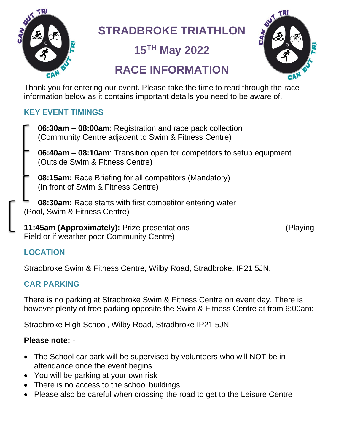

**STRADBROKE TRIATHLON**

**15 TH May 2022**

# **RACE INFORMATION**



Thank you for entering our event. Please take the time to read through the race information below as it contains important details you need to be aware of.

# **KEY EVENT TIMINGS**

- **06:30am – 08:00am**: Registration and race pack collection (Community Centre adjacent to Swim & Fitness Centre)
- **06:40am – 08:10am**: Transition open for competitors to setup equipment (Outside Swim & Fitness Centre)
- **08:15am:** Race Briefing for all competitors (Mandatory) (In front of Swim & Fitness Centre)
- **08:30am:** Race starts with first competitor entering water (Pool, Swim & Fitness Centre)

**11:45am (Approximately):** Prize presentations (Playing Field or if weather poor Community Centre)

# **LOCATION**

Stradbroke Swim & Fitness Centre, Wilby Road, Stradbroke, IP21 5JN.

# **CAR PARKING**

There is no parking at Stradbroke Swim & Fitness Centre on event day. There is however plenty of free parking opposite the Swim & Fitness Centre at from 6:00am: -

Stradbroke High School, Wilby Road, Stradbroke IP21 5JN

### **Please note:** -

- The School car park will be supervised by volunteers who will NOT be in attendance once the event begins
- You will be parking at your own risk
- There is no access to the school buildings
- Please also be careful when crossing the road to get to the Leisure Centre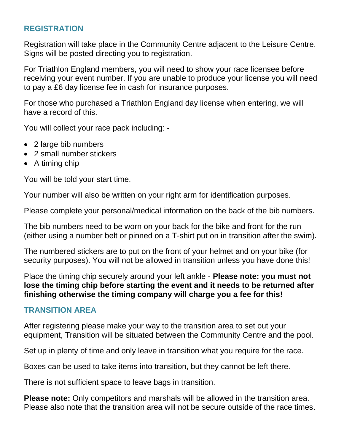#### **REGISTRATION**

Registration will take place in the Community Centre adjacent to the Leisure Centre. Signs will be posted directing you to registration.

For Triathlon England members, you will need to show your race licensee before receiving your event number. If you are unable to produce your license you will need to pay a £6 day license fee in cash for insurance purposes.

For those who purchased a Triathlon England day license when entering, we will have a record of this.

You will collect your race pack including: -

- 2 large bib numbers
- 2 small number stickers
- A timing chip

You will be told your start time.

Your number will also be written on your right arm for identification purposes.

Please complete your personal/medical information on the back of the bib numbers.

The bib numbers need to be worn on your back for the bike and front for the run (either using a number belt or pinned on a T-shirt put on in transition after the swim).

The numbered stickers are to put on the front of your helmet and on your bike (for security purposes). You will not be allowed in transition unless you have done this!

Place the timing chip securely around your left ankle - **Please note: you must not lose the timing chip before starting the event and it needs to be returned after finishing otherwise the timing company will charge you a fee for this!**

### **TRANSITION AREA**

After registering please make your way to the transition area to set out your equipment, Transition will be situated between the Community Centre and the pool.

Set up in plenty of time and only leave in transition what you require for the race.

Boxes can be used to take items into transition, but they cannot be left there.

There is not sufficient space to leave bags in transition.

**Please note:** Only competitors and marshals will be allowed in the transition area. Please also note that the transition area will not be secure outside of the race times.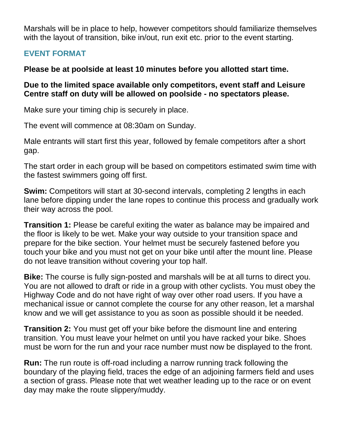Marshals will be in place to help, however competitors should familiarize themselves with the layout of transition, bike in/out, run exit etc. prior to the event starting.

# **EVENT FORMAT**

#### **Please be at poolside at least 10 minutes before you allotted start time.**

#### **Due to the limited space available only competitors, event staff and Leisure Centre staff on duty will be allowed on poolside - no spectators please.**

Make sure your timing chip is securely in place.

The event will commence at 08:30am on Sunday.

Male entrants will start first this year, followed by female competitors after a short gap.

The start order in each group will be based on competitors estimated swim time with the fastest swimmers going off first.

**Swim:** Competitors will start at 30-second intervals, completing 2 lengths in each lane before dipping under the lane ropes to continue this process and gradually work their way across the pool.

**Transition 1:** Please be careful exiting the water as balance may be impaired and the floor is likely to be wet. Make your way outside to your transition space and prepare for the bike section. Your helmet must be securely fastened before you touch your bike and you must not get on your bike until after the mount line. Please do not leave transition without covering your top half.

**Bike:** The course is fully sign-posted and marshals will be at all turns to direct you. You are not allowed to draft or ride in a group with other cyclists. You must obey the Highway Code and do not have right of way over other road users. If you have a mechanical issue or cannot complete the course for any other reason, let a marshal know and we will get assistance to you as soon as possible should it be needed.

**Transition 2:** You must get off your bike before the dismount line and entering transition. You must leave your helmet on until you have racked your bike. Shoes must be worn for the run and your race number must now be displayed to the front.

**Run:** The run route is off-road including a narrow running track following the boundary of the playing field, traces the edge of an adjoining farmers field and uses a section of grass. Please note that wet weather leading up to the race or on event day may make the route slippery/muddy.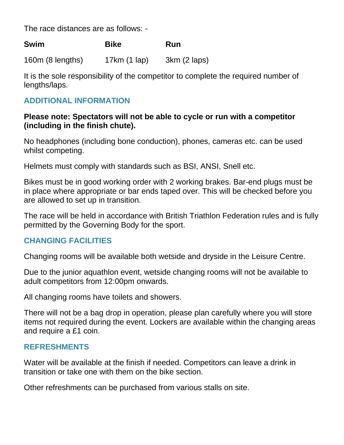The race distances are as follows: -

160m (8 lengths) 17km (1 lap) 3km (2 laps)

It is the sole responsibility of the competitor to complete the required number of lengths/laps.

## **ADDITIONAL INFORMATION**

#### **Please note: Spectators will not be able to cycle or run with a competitor (including in the finish chute).**

No headphones (including bone conduction), phones, cameras etc. can be used whilst competing.

Helmets must comply with standards such as BSI, ANSI, Snell etc.

Bikes must be in good working order with 2 working brakes. Bar-end plugs must be in place where appropriate or bar ends taped over. This will be checked before you are allowed to set up in transition.

The race will be held in accordance with British Triathlon Federation rules and is fully permitted by the Governing Body for the sport.

### **CHANGING FACILITIES**

Changing rooms will be available both wetside and dryside in the Leisure Centre.

Due to the junior aquathlon event, wetside changing rooms will not be available to adult competitors from 12:00pm onwards.

All changing rooms have toilets and showers.

There will not be a bag drop in operation, please plan carefully where you will store items not required during the event. Lockers are available within the changing areas and require a £1 coin.

#### **REFRESHMENTS**

Water will be available at the finish if needed. Competitors can leave a drink in transition or take one with them on the bike section.

Other refreshments can be purchased from various stalls on site.